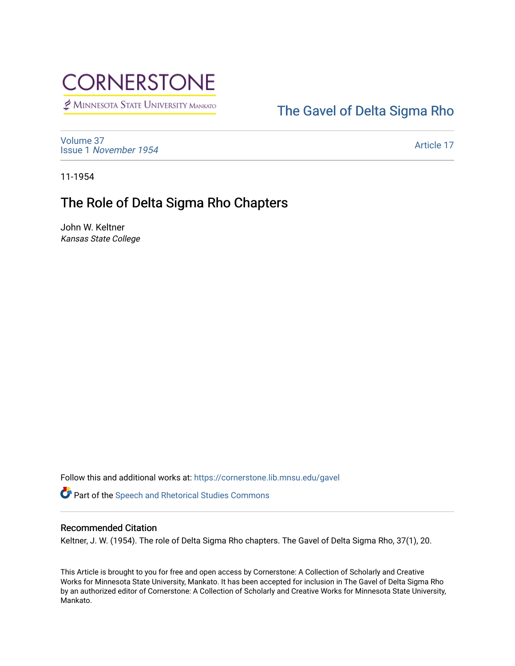

MINNESOTA STATE UNIVERSITY MANKATO

## [The Gavel of Delta Sigma Rho](https://cornerstone.lib.mnsu.edu/gavel)

[Volume 37](https://cornerstone.lib.mnsu.edu/gavel/vol37) Issue 1 [November 1954](https://cornerstone.lib.mnsu.edu/gavel/vol37/iss1) 

[Article 17](https://cornerstone.lib.mnsu.edu/gavel/vol37/iss1/17) 

11-1954

## The Role of Delta Sigma Rho Chapters

John W. Keltner Kansas State College

Follow this and additional works at: [https://cornerstone.lib.mnsu.edu/gavel](https://cornerstone.lib.mnsu.edu/gavel?utm_source=cornerstone.lib.mnsu.edu%2Fgavel%2Fvol37%2Fiss1%2F17&utm_medium=PDF&utm_campaign=PDFCoverPages) 

Part of the [Speech and Rhetorical Studies Commons](http://network.bepress.com/hgg/discipline/338?utm_source=cornerstone.lib.mnsu.edu%2Fgavel%2Fvol37%2Fiss1%2F17&utm_medium=PDF&utm_campaign=PDFCoverPages) 

## Recommended Citation

Keltner, J. W. (1954). The role of Delta Sigma Rho chapters. The Gavel of Delta Sigma Rho, 37(1), 20.

This Article is brought to you for free and open access by Cornerstone: A Collection of Scholarly and Creative Works for Minnesota State University, Mankato. It has been accepted for inclusion in The Gavel of Delta Sigma Rho by an authorized editor of Cornerstone: A Collection of Scholarly and Creative Works for Minnesota State University, Mankato.